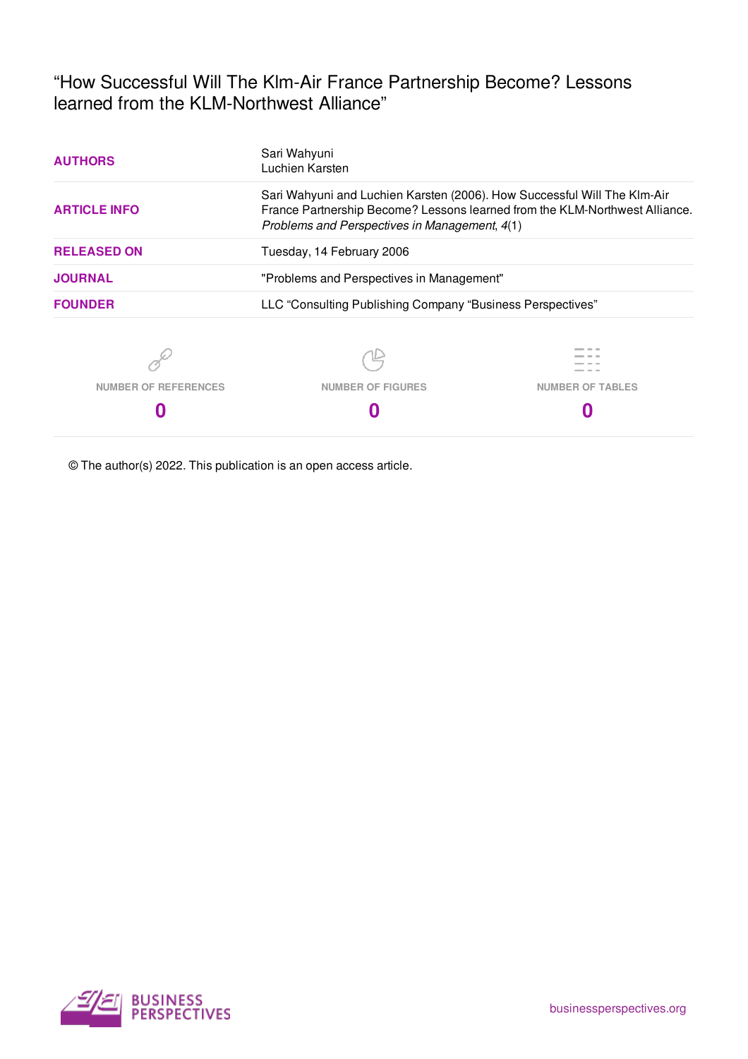"How Successful Will The Klm-Air France Partnership Become? Lessons learned from the KLM-Northwest Alliance"

| <b>AUTHORS</b>       | Sari Wahyuni<br>Luchien Karsten                                                                                                                                                                          |                         |  |  |  |
|----------------------|----------------------------------------------------------------------------------------------------------------------------------------------------------------------------------------------------------|-------------------------|--|--|--|
| <b>ARTICLE INFO</b>  | Sari Wahyuni and Luchien Karsten (2006). How Successful Will The Klm-Air<br>France Partnership Become? Lessons learned from the KLM-Northwest Alliance.<br>Problems and Perspectives in Management, 4(1) |                         |  |  |  |
| <b>RELEASED ON</b>   | Tuesday, 14 February 2006                                                                                                                                                                                |                         |  |  |  |
| <b>JOURNAL</b>       | "Problems and Perspectives in Management"                                                                                                                                                                |                         |  |  |  |
| <b>FOUNDER</b>       | LLC "Consulting Publishing Company "Business Perspectives"                                                                                                                                               |                         |  |  |  |
|                      |                                                                                                                                                                                                          |                         |  |  |  |
| NUMBER OF REFERENCES | <b>NUMBER OF FIGURES</b>                                                                                                                                                                                 | <b>NUMBER OF TABLES</b> |  |  |  |
|                      |                                                                                                                                                                                                          |                         |  |  |  |

© The author(s) 2022. This publication is an open access article.

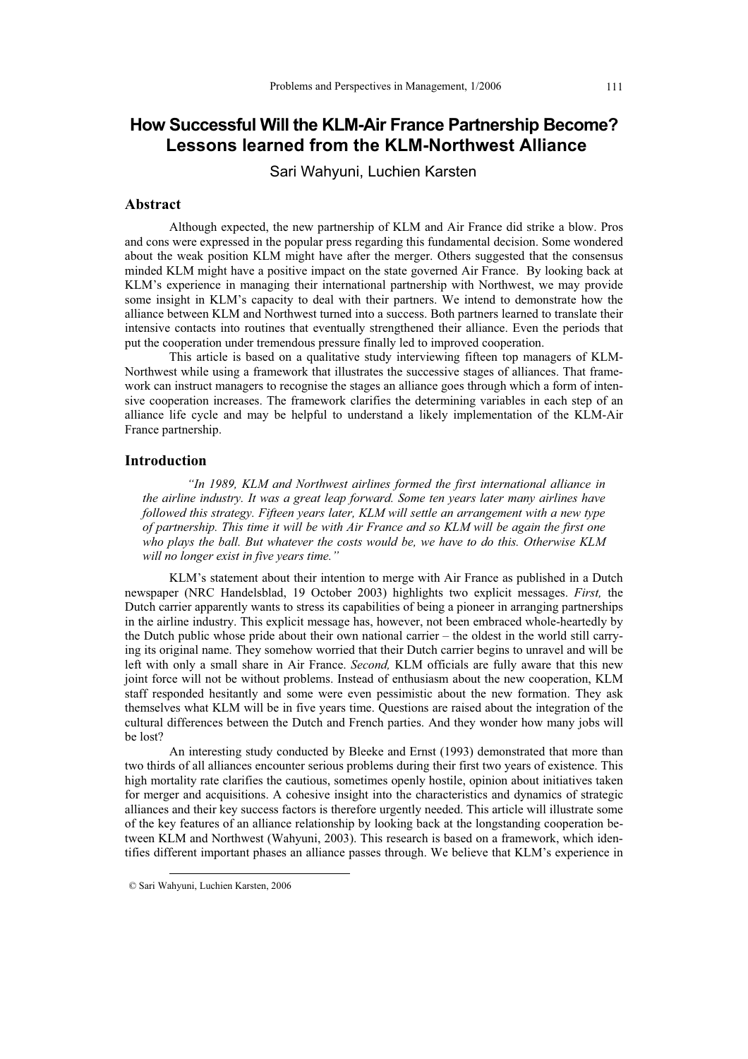# **How Successful Will the KLM-Air France Partnership Become? Lessons learned from the KLM-Northwest Alliance**

Sari Wahyuni, Luchien Karsten

# **Abstract**

Although expected, the new partnership of KLM and Air France did strike a blow. Pros and cons were expressed in the popular press regarding this fundamental decision. Some wondered about the weak position KLM might have after the merger. Others suggested that the consensus minded KLM might have a positive impact on the state governed Air France. By looking back at KLM's experience in managing their international partnership with Northwest, we may provide some insight in KLM's capacity to deal with their partners. We intend to demonstrate how the alliance between KLM and Northwest turned into a success. Both partners learned to translate their intensive contacts into routines that eventually strengthened their alliance. Even the periods that put the cooperation under tremendous pressure finally led to improved cooperation.

This article is based on a qualitative study interviewing fifteen top managers of KLM-Northwest while using a framework that illustrates the successive stages of alliances. That framework can instruct managers to recognise the stages an alliance goes through which a form of intensive cooperation increases. The framework clarifies the determining variables in each step of an alliance life cycle and may be helpful to understand a likely implementation of the KLM-Air France partnership.

# **Introduction**

*"In 1989, KLM and Northwest airlines formed the first international alliance in the airline industry. It was a great leap forward. Some ten years later many airlines have followed this strategy. Fifteen years later, KLM will settle an arrangement with a new type of partnership. This time it will be with Air France and so KLM will be again the first one who plays the ball. But whatever the costs would be, we have to do this. Otherwise KLM will no longer exist in five years time."* 

KLM's statement about their intention to merge with Air France as published in a Dutch newspaper (NRC Handelsblad, 19 October 2003) highlights two explicit messages. *First,* the Dutch carrier apparently wants to stress its capabilities of being a pioneer in arranging partnerships in the airline industry. This explicit message has, however, not been embraced whole-heartedly by the Dutch public whose pride about their own national carrier – the oldest in the world still carrying its original name. They somehow worried that their Dutch carrier begins to unravel and will be left with only a small share in Air France. *Second,* KLM officials are fully aware that this new joint force will not be without problems. Instead of enthusiasm about the new cooperation, KLM staff responded hesitantly and some were even pessimistic about the new formation. They ask themselves what KLM will be in five years time. Questions are raised about the integration of the cultural differences between the Dutch and French parties. And they wonder how many jobs will be lost?

An interesting study conducted by Bleeke and Ernst (1993) demonstrated that more than two thirds of all alliances encounter serious problems during their first two years of existence. This high mortality rate clarifies the cautious, sometimes openly hostile, opinion about initiatives taken for merger and acquisitions. A cohesive insight into the characteristics and dynamics of strategic alliances and their key success factors is therefore urgently needed. This article will illustrate some of the key features of an alliance relationship by looking back at the longstanding cooperation between KLM and Northwest (Wahyuni, 2003). This research is based on a framework, which identifies different important phases an alliance passes through. We believe that KLM's experience in

-

 <sup>©</sup> Sari Wahyuni, Luchien Karsten, 2006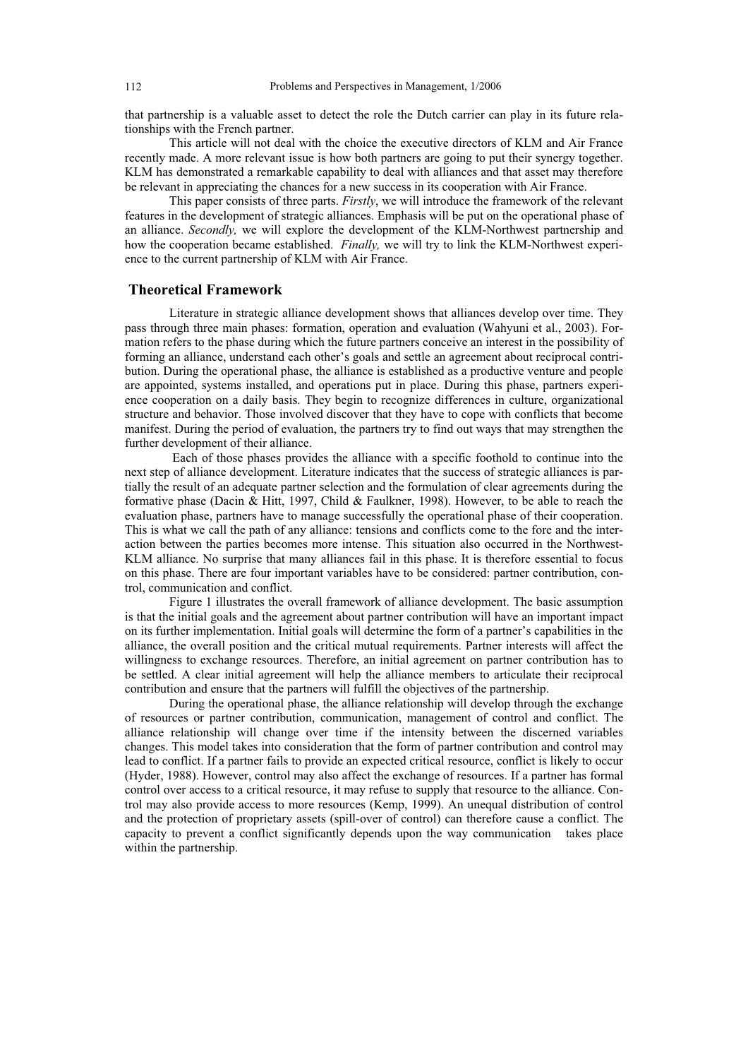that partnership is a valuable asset to detect the role the Dutch carrier can play in its future relationships with the French partner.

This article will not deal with the choice the executive directors of KLM and Air France recently made. A more relevant issue is how both partners are going to put their synergy together. KLM has demonstrated a remarkable capability to deal with alliances and that asset may therefore be relevant in appreciating the chances for a new success in its cooperation with Air France.

This paper consists of three parts. *Firstly*, we will introduce the framework of the relevant features in the development of strategic alliances. Emphasis will be put on the operational phase of an alliance. *Secondly,* we will explore the development of the KLM-Northwest partnership and how the cooperation became established. *Finally,* we will try to link the KLM-Northwest experience to the current partnership of KLM with Air France.

# **Theoretical Framework**

Literature in strategic alliance development shows that alliances develop over time. They pass through three main phases: formation, operation and evaluation (Wahyuni et al., 2003). Formation refers to the phase during which the future partners conceive an interest in the possibility of forming an alliance, understand each other's goals and settle an agreement about reciprocal contribution. During the operational phase, the alliance is established as a productive venture and people are appointed, systems installed, and operations put in place. During this phase, partners experience cooperation on a daily basis. They begin to recognize differences in culture, organizational structure and behavior. Those involved discover that they have to cope with conflicts that become manifest. During the period of evaluation, the partners try to find out ways that may strengthen the further development of their alliance.

 Each of those phases provides the alliance with a specific foothold to continue into the next step of alliance development. Literature indicates that the success of strategic alliances is partially the result of an adequate partner selection and the formulation of clear agreements during the formative phase (Dacin & Hitt, 1997, Child & Faulkner, 1998). However, to be able to reach the evaluation phase, partners have to manage successfully the operational phase of their cooperation. This is what we call the path of any alliance: tensions and conflicts come to the fore and the interaction between the parties becomes more intense. This situation also occurred in the Northwest-KLM alliance. No surprise that many alliances fail in this phase. It is therefore essential to focus on this phase. There are four important variables have to be considered: partner contribution, control, communication and conflict.

Figure 1 illustrates the overall framework of alliance development. The basic assumption is that the initial goals and the agreement about partner contribution will have an important impact on its further implementation. Initial goals will determine the form of a partner's capabilities in the alliance, the overall position and the critical mutual requirements. Partner interests will affect the willingness to exchange resources. Therefore, an initial agreement on partner contribution has to be settled. A clear initial agreement will help the alliance members to articulate their reciprocal contribution and ensure that the partners will fulfill the objectives of the partnership.

During the operational phase, the alliance relationship will develop through the exchange of resources or partner contribution, communication, management of control and conflict. The alliance relationship will change over time if the intensity between the discerned variables changes. This model takes into consideration that the form of partner contribution and control may lead to conflict. If a partner fails to provide an expected critical resource, conflict is likely to occur (Hyder, 1988). However, control may also affect the exchange of resources. If a partner has formal control over access to a critical resource, it may refuse to supply that resource to the alliance. Control may also provide access to more resources (Kemp, 1999). An unequal distribution of control and the protection of proprietary assets (spill-over of control) can therefore cause a conflict. The capacity to prevent a conflict significantly depends upon the way communication takes place within the partnership.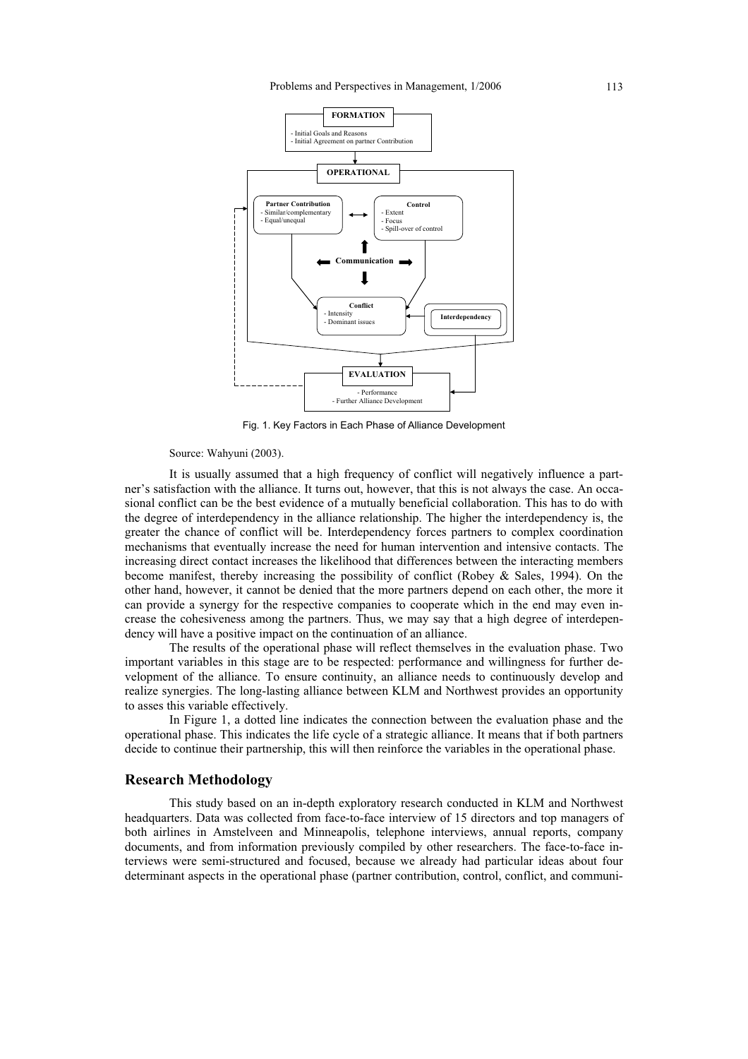

Fig. 1. Key Factors in Each Phase of Alliance Development

Source: Wahyuni (2003).

It is usually assumed that a high frequency of conflict will negatively influence a partner's satisfaction with the alliance. It turns out, however, that this is not always the case. An occasional conflict can be the best evidence of a mutually beneficial collaboration. This has to do with the degree of interdependency in the alliance relationship. The higher the interdependency is, the greater the chance of conflict will be. Interdependency forces partners to complex coordination mechanisms that eventually increase the need for human intervention and intensive contacts. The increasing direct contact increases the likelihood that differences between the interacting members become manifest, thereby increasing the possibility of conflict (Robey & Sales, 1994). On the other hand, however, it cannot be denied that the more partners depend on each other, the more it can provide a synergy for the respective companies to cooperate which in the end may even increase the cohesiveness among the partners. Thus, we may say that a high degree of interdependency will have a positive impact on the continuation of an alliance.

The results of the operational phase will reflect themselves in the evaluation phase. Two important variables in this stage are to be respected: performance and willingness for further development of the alliance. To ensure continuity, an alliance needs to continuously develop and realize synergies. The long-lasting alliance between KLM and Northwest provides an opportunity to asses this variable effectively.

In Figure 1, a dotted line indicates the connection between the evaluation phase and the operational phase. This indicates the life cycle of a strategic alliance. It means that if both partners decide to continue their partnership, this will then reinforce the variables in the operational phase.

# **Research Methodology**

This study based on an in-depth exploratory research conducted in KLM and Northwest headquarters. Data was collected from face-to-face interview of 15 directors and top managers of both airlines in Amstelveen and Minneapolis, telephone interviews, annual reports, company documents, and from information previously compiled by other researchers. The face-to-face interviews were semi-structured and focused, because we already had particular ideas about four determinant aspects in the operational phase (partner contribution, control, conflict, and communi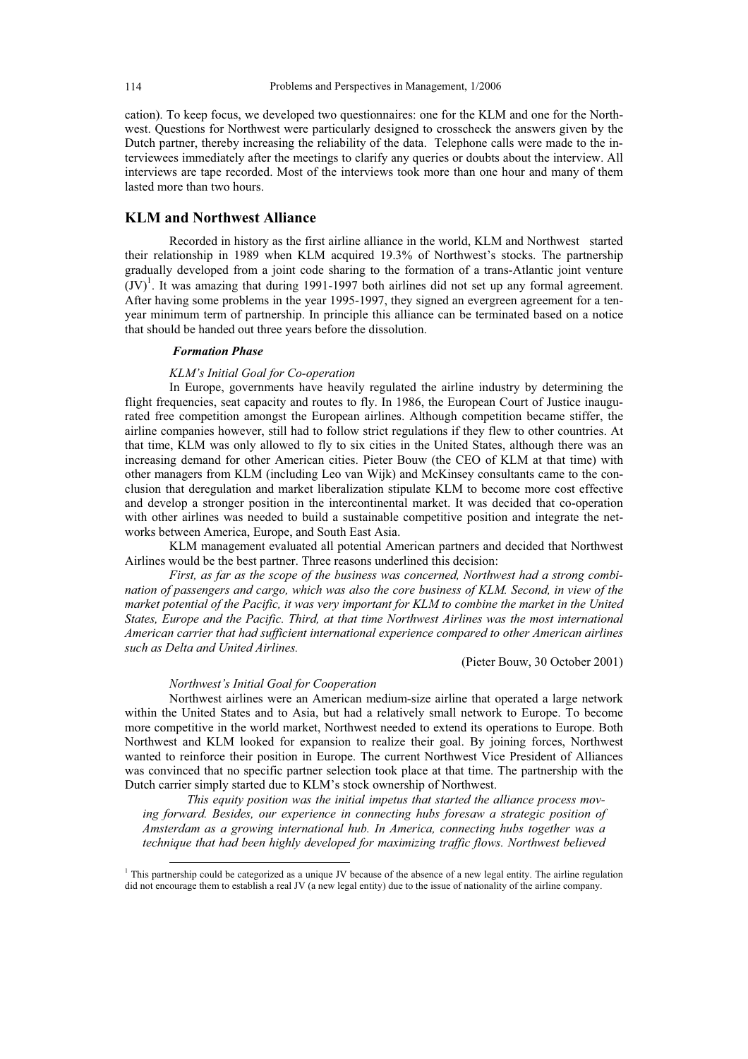cation). To keep focus, we developed two questionnaires: one for the KLM and one for the Northwest. Questions for Northwest were particularly designed to crosscheck the answers given by the Dutch partner, thereby increasing the reliability of the data. Telephone calls were made to the interviewees immediately after the meetings to clarify any queries or doubts about the interview. All interviews are tape recorded. Most of the interviews took more than one hour and many of them lasted more than two hours.

# **KLM and Northwest Alliance**

Recorded in history as the first airline alliance in the world, KLM and Northwest started their relationship in 1989 when KLM acquired 19.3% of Northwest's stocks. The partnership gradually developed from a joint code sharing to the formation of a trans-Atlantic joint venture  ${(JV)}^1$ . It was amazing that during 1991-1997 both airlines did not set up any formal agreement. After having some problems in the year 1995-1997, they signed an evergreen agreement for a tenyear minimum term of partnership. In principle this alliance can be terminated based on a notice that should be handed out three years before the dissolution.

# *Formation Phase*

### *KLM's Initial Goal for Co-operation*

In Europe, governments have heavily regulated the airline industry by determining the flight frequencies, seat capacity and routes to fly. In 1986, the European Court of Justice inaugurated free competition amongst the European airlines. Although competition became stiffer, the airline companies however, still had to follow strict regulations if they flew to other countries. At that time, KLM was only allowed to fly to six cities in the United States, although there was an increasing demand for other American cities. Pieter Bouw (the CEO of KLM at that time) with other managers from KLM (including Leo van Wijk) and McKinsey consultants came to the conclusion that deregulation and market liberalization stipulate KLM to become more cost effective and develop a stronger position in the intercontinental market. It was decided that co-operation with other airlines was needed to build a sustainable competitive position and integrate the networks between America, Europe, and South East Asia.

KLM management evaluated all potential American partners and decided that Northwest Airlines would be the best partner. Three reasons underlined this decision:

*First, as far as the scope of the business was concerned, Northwest had a strong combination of passengers and cargo, which was also the core business of KLM. Second, in view of the market potential of the Pacific, it was very important for KLM to combine the market in the United States, Europe and the Pacific. Third, at that time Northwest Airlines was the most international American carrier that had sufficient international experience compared to other American airlines such as Delta and United Airlines.*

(Pieter Bouw, 30 October 2001)

## *Northwest's Initial Goal for Cooperation*

-

Northwest airlines were an American medium-size airline that operated a large network within the United States and to Asia, but had a relatively small network to Europe. To become more competitive in the world market, Northwest needed to extend its operations to Europe. Both Northwest and KLM looked for expansion to realize their goal. By joining forces, Northwest wanted to reinforce their position in Europe. The current Northwest Vice President of Alliances was convinced that no specific partner selection took place at that time. The partnership with the Dutch carrier simply started due to KLM's stock ownership of Northwest.

*This equity position was the initial impetus that started the alliance process moving forward. Besides, our experience in connecting hubs foresaw a strategic position of Amsterdam as a growing international hub. In America, connecting hubs together was a technique that had been highly developed for maximizing traffic flows. Northwest believed* 

<sup>&</sup>lt;sup>1</sup> This partnership could be categorized as a unique JV because of the absence of a new legal entity. The airline regulation did not encourage them to establish a real JV (a new legal entity) due to the issue of nationality of the airline company.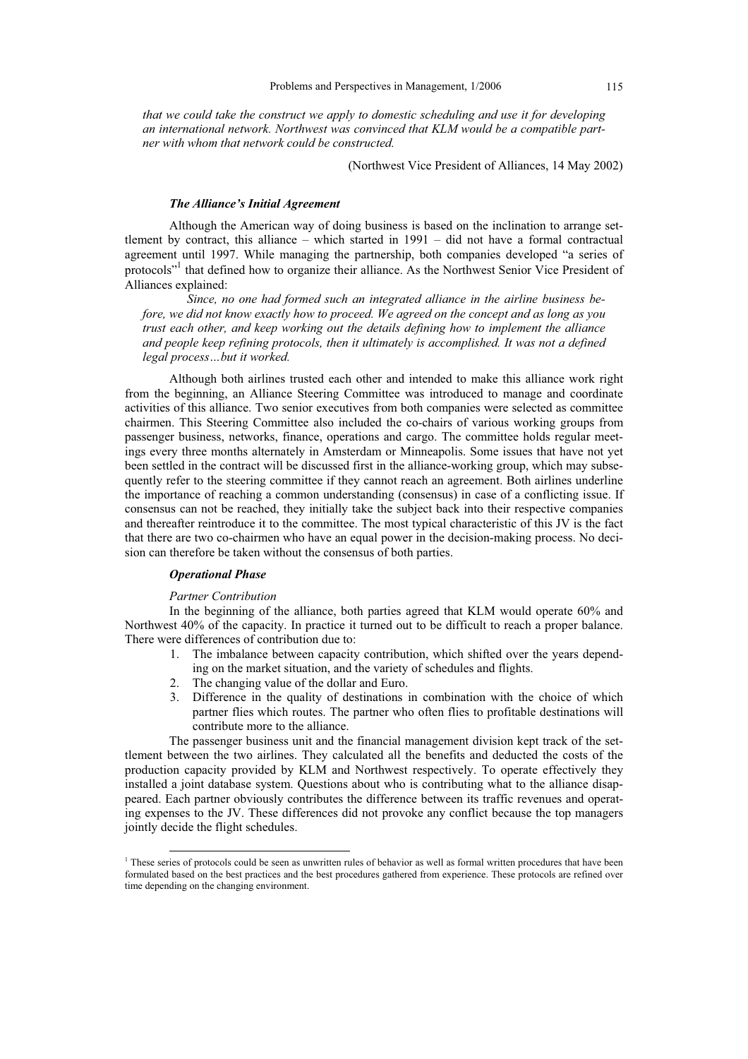*that we could take the construct we apply to domestic scheduling and use it for developing an international network. Northwest was convinced that KLM would be a compatible partner with whom that network could be constructed.* 

(Northwest Vice President of Alliances, 14 May 2002)

#### *The Alliance's Initial Agreement*

Although the American way of doing business is based on the inclination to arrange settlement by contract, this alliance – which started in 1991 – did not have a formal contractual agreement until 1997. While managing the partnership, both companies developed "a series of protocols"<sup>1</sup> that defined how to organize their alliance. As the Northwest Senior Vice President of Alliances explained:

*Since, no one had formed such an integrated alliance in the airline business before, we did not know exactly how to proceed. We agreed on the concept and as long as you trust each other, and keep working out the details defining how to implement the alliance and people keep refining protocols, then it ultimately is accomplished. It was not a defined legal process…but it worked.* 

Although both airlines trusted each other and intended to make this alliance work right from the beginning, an Alliance Steering Committee was introduced to manage and coordinate activities of this alliance. Two senior executives from both companies were selected as committee chairmen. This Steering Committee also included the co-chairs of various working groups from passenger business, networks, finance, operations and cargo. The committee holds regular meetings every three months alternately in Amsterdam or Minneapolis. Some issues that have not yet been settled in the contract will be discussed first in the alliance-working group, which may subsequently refer to the steering committee if they cannot reach an agreement. Both airlines underline the importance of reaching a common understanding (consensus) in case of a conflicting issue. If consensus can not be reached, they initially take the subject back into their respective companies and thereafter reintroduce it to the committee. The most typical characteristic of this JV is the fact that there are two co-chairmen who have an equal power in the decision-making process. No decision can therefore be taken without the consensus of both parties.

#### *Operational Phase*

#### *Partner Contribution*

In the beginning of the alliance, both parties agreed that KLM would operate 60% and Northwest 40% of the capacity. In practice it turned out to be difficult to reach a proper balance. There were differences of contribution due to:

- 1. The imbalance between capacity contribution, which shifted over the years depending on the market situation, and the variety of schedules and flights.
- 2. The changing value of the dollar and Euro.
- 3. Difference in the quality of destinations in combination with the choice of which partner flies which routes. The partner who often flies to profitable destinations will contribute more to the alliance.

The passenger business unit and the financial management division kept track of the settlement between the two airlines. They calculated all the benefits and deducted the costs of the production capacity provided by KLM and Northwest respectively. To operate effectively they installed a joint database system. Questions about who is contributing what to the alliance disappeared. Each partner obviously contributes the difference between its traffic revenues and operating expenses to the JV. These differences did not provoke any conflict because the top managers jointly decide the flight schedules.

<sup>&</sup>lt;sup>1</sup> These series of protocols could be seen as unwritten rules of behavior as well as formal written procedures that have been formulated based on the best practices and the best procedures gathered from experience. These protocols are refined over time depending on the changing environment.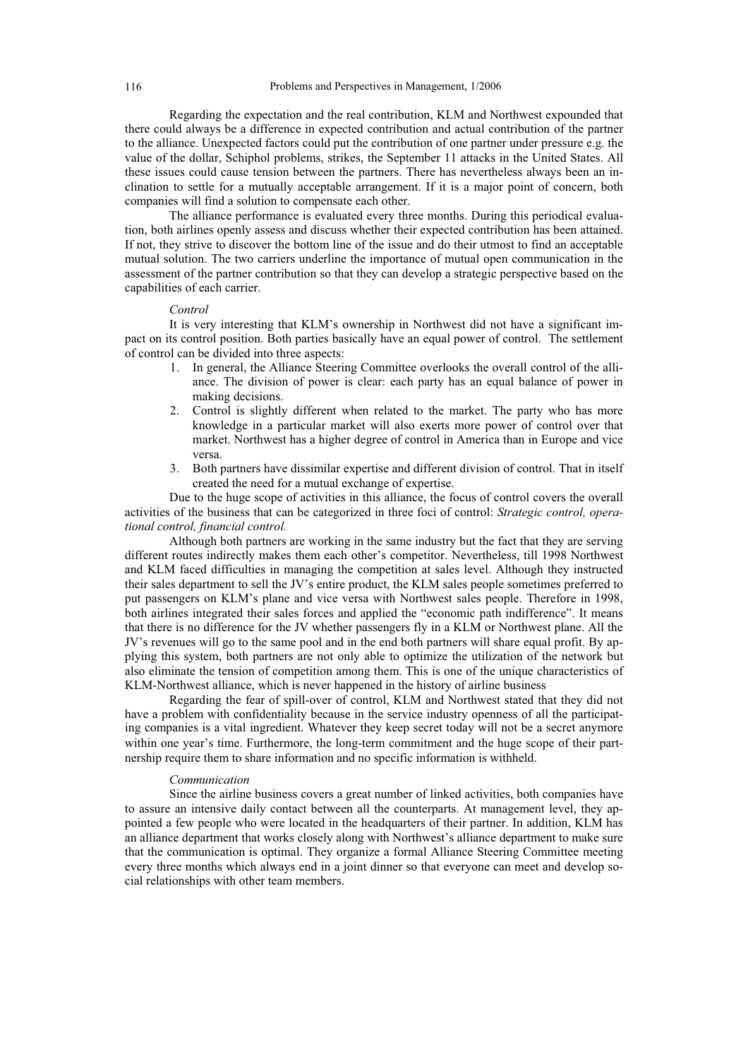Regarding the expectation and the real contribution, KLM and Northwest expounded that there could always be a difference in expected contribution and actual contribution of the partner to the alliance. Unexpected factors could put the contribution of one partner under pressure e.g. the value of the dollar, Schiphol problems, strikes, the September 11 attacks in the United States. All these issues could cause tension between the partners. There has nevertheless always been an inclination to settle for a mutually acceptable arrangement. If it is a major point of concern, both companies will find a solution to compensate each other.

The alliance performance is evaluated every three months. During this periodical evaluation, both airlines openly assess and discuss whether their expected contribution has been attained. If not, they strive to discover the bottom line of the issue and do their utmost to find an acceptable mutual solution. The two carriers underline the importance of mutual open communication in the assessment of the partner contribution so that they can develop a strategic perspective based on the capabilities of each carrier.

### *Control*

It is very interesting that KLM's ownership in Northwest did not have a significant impact on its control position. Both parties basically have an equal power of control. The settlement of control can be divided into three aspects:

- 1. In general, the Alliance Steering Committee overlooks the overall control of the alliance. The division of power is clear: each party has an equal balance of power in making decisions.
- 2. Control is slightly different when related to the market. The party who has more knowledge in a particular market will also exerts more power of control over that market. Northwest has a higher degree of control in America than in Europe and vice versa.
- 3. Both partners have dissimilar expertise and different division of control. That in itself created the need for a mutual exchange of expertise.

Due to the huge scope of activities in this alliance, the focus of control covers the overall activities of the business that can be categorized in three foci of control: *Strategic control, operational control, financial control.*

Although both partners are working in the same industry but the fact that they are serving different routes indirectly makes them each other's competitor. Nevertheless, till 1998 Northwest and KLM faced difficulties in managing the competition at sales level. Although they instructed their sales department to sell the JV's entire product, the KLM sales people sometimes preferred to put passengers on KLM's plane and vice versa with Northwest sales people. Therefore in 1998, both airlines integrated their sales forces and applied the "economic path indifference". It means that there is no difference for the JV whether passengers fly in a KLM or Northwest plane. All the JV's revenues will go to the same pool and in the end both partners will share equal profit. By applying this system, both partners are not only able to optimize the utilization of the network but also eliminate the tension of competition among them. This is one of the unique characteristics of KLM-Northwest alliance, which is never happened in the history of airline business

Regarding the fear of spill-over of control, KLM and Northwest stated that they did not have a problem with confidentiality because in the service industry openness of all the participating companies is a vital ingredient. Whatever they keep secret today will not be a secret anymore within one year's time. Furthermore, the long-term commitment and the huge scope of their partnership require them to share information and no specific information is withheld.

#### *Communication*

Since the airline business covers a great number of linked activities, both companies have to assure an intensive daily contact between all the counterparts. At management level, they appointed a few people who were located in the headquarters of their partner. In addition, KLM has an alliance department that works closely along with Northwest's alliance department to make sure that the communication is optimal. They organize a formal Alliance Steering Committee meeting every three months which always end in a joint dinner so that everyone can meet and develop social relationships with other team members.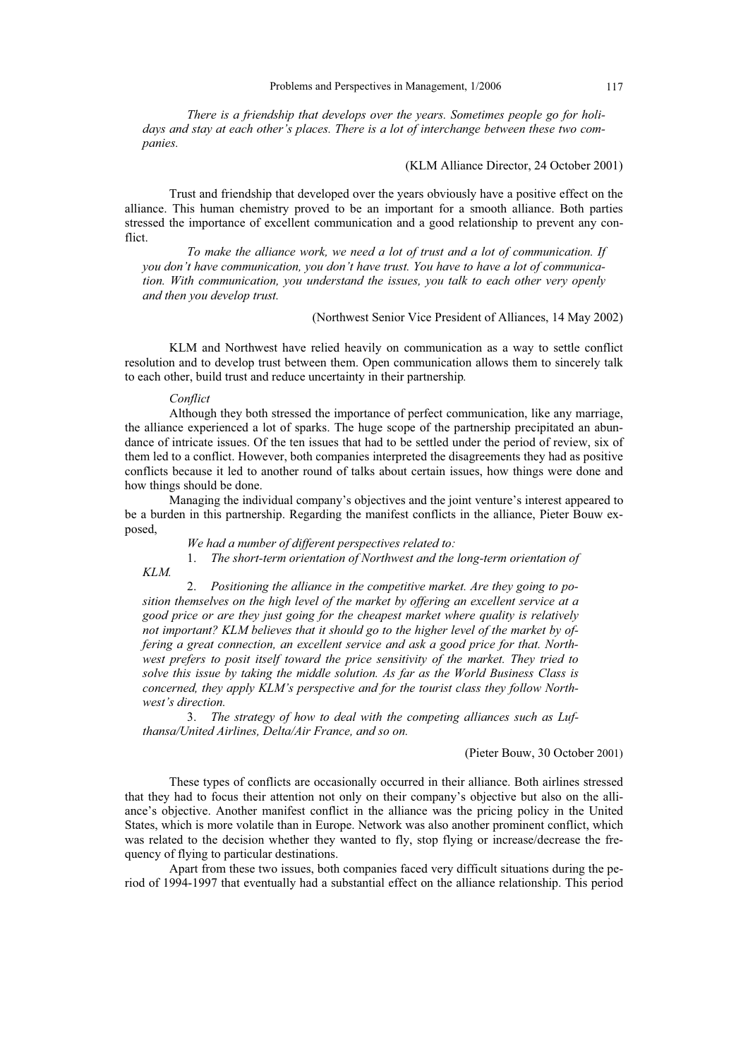*There is a friendship that develops over the years. Sometimes people go for holidays and stay at each other's places. There is a lot of interchange between these two companies.* 

### (KLM Alliance Director, 24 October 2001)

Trust and friendship that developed over the years obviously have a positive effect on the alliance. This human chemistry proved to be an important for a smooth alliance. Both parties stressed the importance of excellent communication and a good relationship to prevent any conflict.

*To make the alliance work, we need a lot of trust and a lot of communication. If you don't have communication, you don't have trust. You have to have a lot of communication. With communication, you understand the issues, you talk to each other very openly and then you develop trust.* 

(Northwest Senior Vice President of Alliances, 14 May 2002)

KLM and Northwest have relied heavily on communication as a way to settle conflict resolution and to develop trust between them. Open communication allows them to sincerely talk to each other, build trust and reduce uncertainty in their partnership*.*

#### *Conflict*

Although they both stressed the importance of perfect communication, like any marriage, the alliance experienced a lot of sparks. The huge scope of the partnership precipitated an abundance of intricate issues. Of the ten issues that had to be settled under the period of review, six of them led to a conflict. However, both companies interpreted the disagreements they had as positive conflicts because it led to another round of talks about certain issues, how things were done and how things should be done.

Managing the individual company's objectives and the joint venture's interest appeared to be a burden in this partnership. Regarding the manifest conflicts in the alliance, Pieter Bouw exposed,

*We had a number of different perspectives related to:* 

1. *The short-term orientation of Northwest and the long-term orientation of* 

*KLM.*

2. *Positioning the alliance in the competitive market. Are they going to position themselves on the high level of the market by offering an excellent service at a good price or are they just going for the cheapest market where quality is relatively not important? KLM believes that it should go to the higher level of the market by offering a great connection, an excellent service and ask a good price for that. Northwest prefers to posit itself toward the price sensitivity of the market. They tried to solve this issue by taking the middle solution. As far as the World Business Class is concerned, they apply KLM's perspective and for the tourist class they follow Northwest's direction.* 

3. *The strategy of how to deal with the competing alliances such as Lufthansa/United Airlines, Delta/Air France, and so on.* 

# (Pieter Bouw, 30 October 2001)

These types of conflicts are occasionally occurred in their alliance. Both airlines stressed that they had to focus their attention not only on their company's objective but also on the alliance's objective. Another manifest conflict in the alliance was the pricing policy in the United States, which is more volatile than in Europe. Network was also another prominent conflict, which was related to the decision whether they wanted to fly, stop flying or increase/decrease the frequency of flying to particular destinations.

Apart from these two issues, both companies faced very difficult situations during the period of 1994-1997 that eventually had a substantial effect on the alliance relationship. This period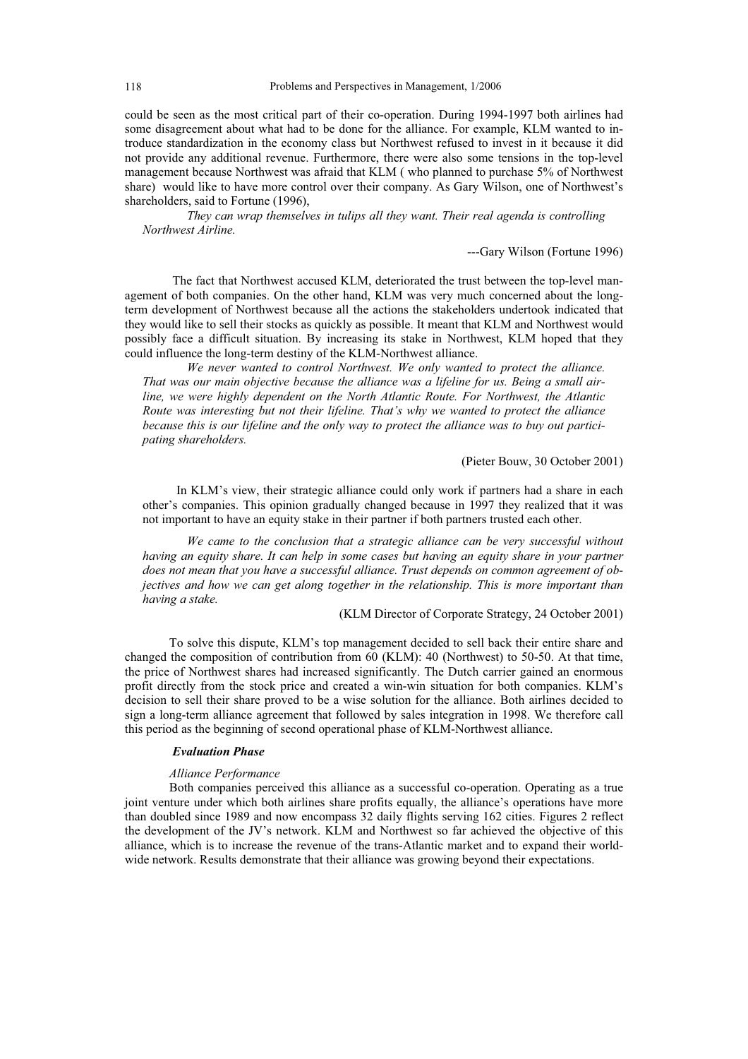could be seen as the most critical part of their co-operation. During 1994-1997 both airlines had some disagreement about what had to be done for the alliance. For example, KLM wanted to introduce standardization in the economy class but Northwest refused to invest in it because it did not provide any additional revenue. Furthermore, there were also some tensions in the top-level management because Northwest was afraid that KLM ( who planned to purchase 5% of Northwest share) would like to have more control over their company. As Gary Wilson, one of Northwest's shareholders, said to Fortune (1996),

*They can wrap themselves in tulips all they want. Their real agenda is controlling Northwest Airline.* 

---Gary Wilson (Fortune 1996)

The fact that Northwest accused KLM, deteriorated the trust between the top-level management of both companies. On the other hand, KLM was very much concerned about the longterm development of Northwest because all the actions the stakeholders undertook indicated that they would like to sell their stocks as quickly as possible. It meant that KLM and Northwest would possibly face a difficult situation. By increasing its stake in Northwest, KLM hoped that they could influence the long-term destiny of the KLM-Northwest alliance.

*We never wanted to control Northwest. We only wanted to protect the alliance. That was our main objective because the alliance was a lifeline for us. Being a small airline, we were highly dependent on the North Atlantic Route. For Northwest, the Atlantic Route was interesting but not their lifeline. That's why we wanted to protect the alliance because this is our lifeline and the only way to protect the alliance was to buy out participating shareholders.* 

(Pieter Bouw, 30 October 2001)

In KLM's view, their strategic alliance could only work if partners had a share in each other's companies. This opinion gradually changed because in 1997 they realized that it was not important to have an equity stake in their partner if both partners trusted each other.

*We came to the conclusion that a strategic alliance can be very successful without having an equity share. It can help in some cases but having an equity share in your partner does not mean that you have a successful alliance. Trust depends on common agreement of objectives and how we can get along together in the relationship. This is more important than having a stake.* 

(KLM Director of Corporate Strategy, 24 October 2001)

To solve this dispute, KLM's top management decided to sell back their entire share and changed the composition of contribution from 60 (KLM): 40 (Northwest) to 50-50. At that time, the price of Northwest shares had increased significantly. The Dutch carrier gained an enormous profit directly from the stock price and created a win-win situation for both companies. KLM's decision to sell their share proved to be a wise solution for the alliance. Both airlines decided to sign a long-term alliance agreement that followed by sales integration in 1998. We therefore call this period as the beginning of second operational phase of KLM-Northwest alliance.

### *Evaluation Phase*

# *Alliance Performance*

Both companies perceived this alliance as a successful co-operation. Operating as a true joint venture under which both airlines share profits equally, the alliance's operations have more than doubled since 1989 and now encompass 32 daily flights serving 162 cities. Figures 2 reflect the development of the JV's network. KLM and Northwest so far achieved the objective of this alliance, which is to increase the revenue of the trans-Atlantic market and to expand their worldwide network. Results demonstrate that their alliance was growing beyond their expectations.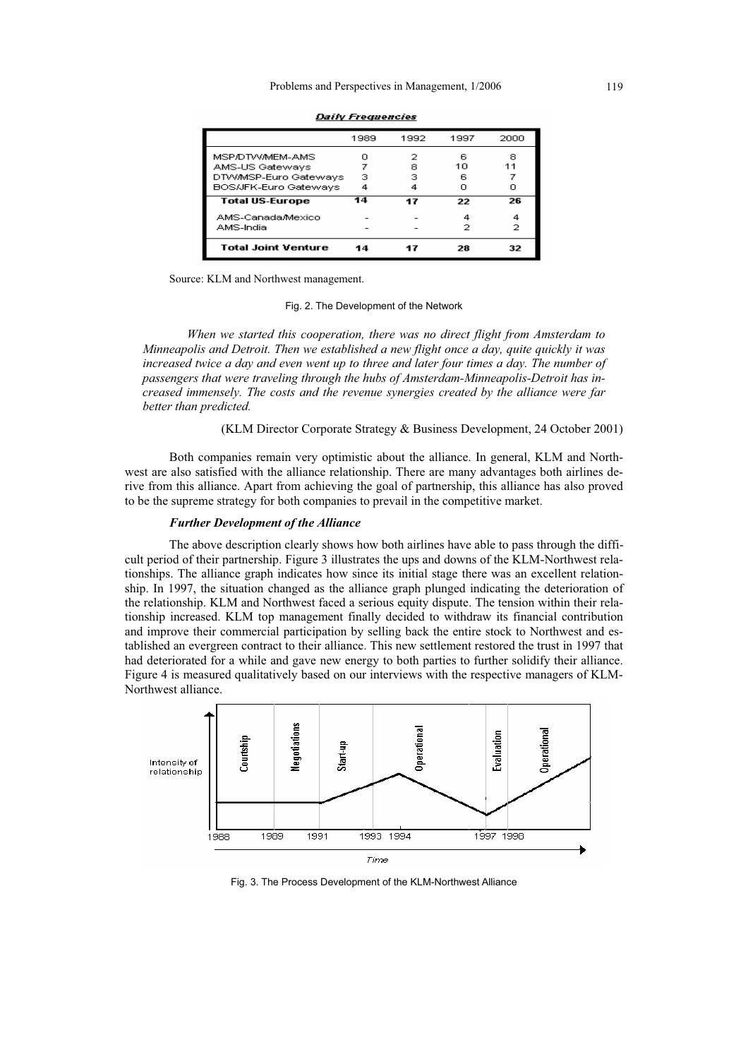|                            | 1989 | 1992 | 1997 | 2000 |
|----------------------------|------|------|------|------|
| MSP/DTW/MEM-AMS            | n    | 2    | ĥ    | я    |
| AMS-US Gateways            |      | 8    | 10   | 11   |
| DTWMSP-Euro Gateways       | з    | з    | 6    |      |
| BOS/JFK-Euro Gateways      | 4    |      | n    |      |
| <b>Total US-Europe</b>     | 14   | 17   | 22   | 26   |
| AMS-Canada/Mexico          |      |      |      | 4    |
| AMS-India                  |      |      |      | 2    |
| <b>Total Joint Venture</b> | 14   |      | 28   | 32   |

**Daily Freguencies** 

Source: KLM and Northwest management.

#### Fig. 2. The Development of the Network

*When we started this cooperation, there was no direct flight from Amsterdam to Minneapolis and Detroit. Then we established a new flight once a day, quite quickly it was increased twice a day and even went up to three and later four times a day. The number of passengers that were traveling through the hubs of Amsterdam-Minneapolis-Detroit has increased immensely. The costs and the revenue synergies created by the alliance were far better than predicted.* 

(KLM Director Corporate Strategy & Business Development, 24 October 2001)

Both companies remain very optimistic about the alliance. In general, KLM and Northwest are also satisfied with the alliance relationship. There are many advantages both airlines derive from this alliance. Apart from achieving the goal of partnership, this alliance has also proved to be the supreme strategy for both companies to prevail in the competitive market.

## *Further Development of the Alliance*

The above description clearly shows how both airlines have able to pass through the difficult period of their partnership. Figure 3 illustrates the ups and downs of the KLM-Northwest relationships. The alliance graph indicates how since its initial stage there was an excellent relationship. In 1997, the situation changed as the alliance graph plunged indicating the deterioration of the relationship. KLM and Northwest faced a serious equity dispute. The tension within their relationship increased. KLM top management finally decided to withdraw its financial contribution and improve their commercial participation by selling back the entire stock to Northwest and established an evergreen contract to their alliance. This new settlement restored the trust in 1997 that had deteriorated for a while and gave new energy to both parties to further solidify their alliance. Figure 4 is measured qualitatively based on our interviews with the respective managers of KLM-Northwest alliance.



Fig. 3. The Process Development of the KLM-Northwest Alliance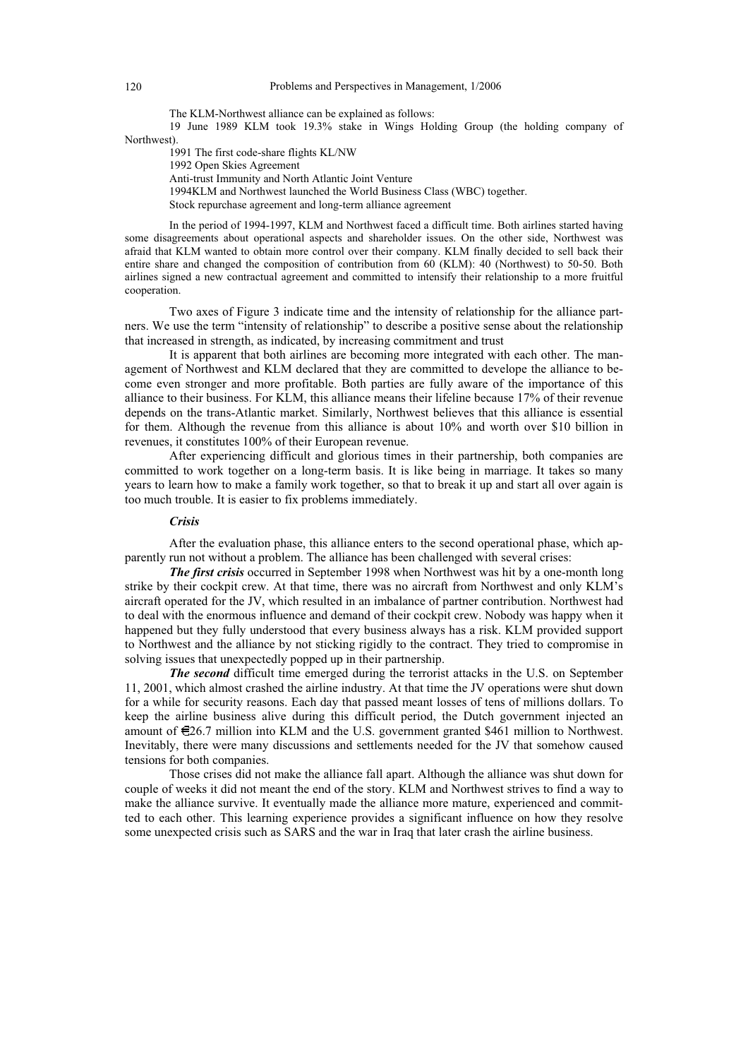The KLM-Northwest alliance can be explained as follows:

19 June 1989 KLM took 19.3% stake in Wings Holding Group (the holding company of Northwest).

1991 The first code-share flights KL/NW

1992 Open Skies Agreement

Anti-trust Immunity and North Atlantic Joint Venture

1994KLM and Northwest launched the World Business Class (WBC) together.

Stock repurchase agreement and long-term alliance agreement

In the period of 1994-1997, KLM and Northwest faced a difficult time. Both airlines started having some disagreements about operational aspects and shareholder issues. On the other side, Northwest was afraid that KLM wanted to obtain more control over their company. KLM finally decided to sell back their entire share and changed the composition of contribution from 60 (KLM): 40 (Northwest) to 50-50. Both airlines signed a new contractual agreement and committed to intensify their relationship to a more fruitful cooperation.

Two axes of Figure 3 indicate time and the intensity of relationship for the alliance partners. We use the term "intensity of relationship" to describe a positive sense about the relationship that increased in strength, as indicated, by increasing commitment and trust

It is apparent that both airlines are becoming more integrated with each other. The management of Northwest and KLM declared that they are committed to develope the alliance to become even stronger and more profitable. Both parties are fully aware of the importance of this alliance to their business. For KLM, this alliance means their lifeline because 17% of their revenue depends on the trans-Atlantic market. Similarly, Northwest believes that this alliance is essential for them. Although the revenue from this alliance is about 10% and worth over \$10 billion in revenues, it constitutes 100% of their European revenue.

After experiencing difficult and glorious times in their partnership, both companies are committed to work together on a long-term basis. It is like being in marriage. It takes so many years to learn how to make a family work together, so that to break it up and start all over again is too much trouble. It is easier to fix problems immediately.

## *Crisis*

After the evaluation phase, this alliance enters to the second operational phase, which apparently run not without a problem. The alliance has been challenged with several crises:

*The first crisis* occurred in September 1998 when Northwest was hit by a one-month long strike by their cockpit crew. At that time, there was no aircraft from Northwest and only KLM's aircraft operated for the JV, which resulted in an imbalance of partner contribution. Northwest had to deal with the enormous influence and demand of their cockpit crew. Nobody was happy when it happened but they fully understood that every business always has a risk. KLM provided support to Northwest and the alliance by not sticking rigidly to the contract. They tried to compromise in solving issues that unexpectedly popped up in their partnership.

*The second* difficult time emerged during the terrorist attacks in the U.S. on September 11, 2001, which almost crashed the airline industry. At that time the JV operations were shut down for a while for security reasons. Each day that passed meant losses of tens of millions dollars. To keep the airline business alive during this difficult period, the Dutch government injected an amount of  $\epsilon$ 26.7 million into KLM and the U.S. government granted \$461 million to Northwest. Inevitably, there were many discussions and settlements needed for the JV that somehow caused tensions for both companies.

Those crises did not make the alliance fall apart. Although the alliance was shut down for couple of weeks it did not meant the end of the story. KLM and Northwest strives to find a way to make the alliance survive. It eventually made the alliance more mature, experienced and committed to each other. This learning experience provides a significant influence on how they resolve some unexpected crisis such as SARS and the war in Iraq that later crash the airline business.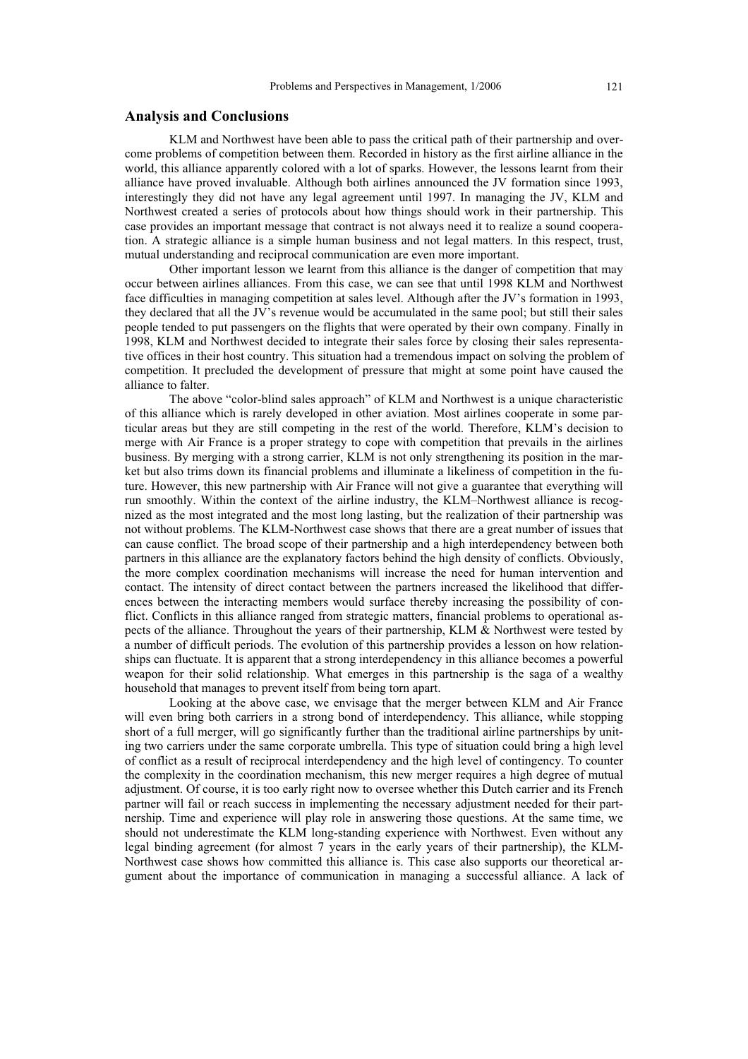# **Analysis and Conclusions**

KLM and Northwest have been able to pass the critical path of their partnership and overcome problems of competition between them. Recorded in history as the first airline alliance in the world, this alliance apparently colored with a lot of sparks. However, the lessons learnt from their alliance have proved invaluable. Although both airlines announced the JV formation since 1993, interestingly they did not have any legal agreement until 1997. In managing the JV, KLM and Northwest created a series of protocols about how things should work in their partnership. This case provides an important message that contract is not always need it to realize a sound cooperation. A strategic alliance is a simple human business and not legal matters. In this respect, trust, mutual understanding and reciprocal communication are even more important.

Other important lesson we learnt from this alliance is the danger of competition that may occur between airlines alliances. From this case, we can see that until 1998 KLM and Northwest face difficulties in managing competition at sales level. Although after the JV's formation in 1993, they declared that all the JV's revenue would be accumulated in the same pool; but still their sales people tended to put passengers on the flights that were operated by their own company. Finally in 1998, KLM and Northwest decided to integrate their sales force by closing their sales representative offices in their host country. This situation had a tremendous impact on solving the problem of competition. It precluded the development of pressure that might at some point have caused the alliance to falter.

The above "color-blind sales approach" of KLM and Northwest is a unique characteristic of this alliance which is rarely developed in other aviation. Most airlines cooperate in some particular areas but they are still competing in the rest of the world. Therefore, KLM's decision to merge with Air France is a proper strategy to cope with competition that prevails in the airlines business. By merging with a strong carrier, KLM is not only strengthening its position in the market but also trims down its financial problems and illuminate a likeliness of competition in the future. However, this new partnership with Air France will not give a guarantee that everything will run smoothly. Within the context of the airline industry, the KLM–Northwest alliance is recognized as the most integrated and the most long lasting, but the realization of their partnership was not without problems. The KLM-Northwest case shows that there are a great number of issues that can cause conflict. The broad scope of their partnership and a high interdependency between both partners in this alliance are the explanatory factors behind the high density of conflicts. Obviously, the more complex coordination mechanisms will increase the need for human intervention and contact. The intensity of direct contact between the partners increased the likelihood that differences between the interacting members would surface thereby increasing the possibility of conflict. Conflicts in this alliance ranged from strategic matters, financial problems to operational aspects of the alliance. Throughout the years of their partnership, KLM & Northwest were tested by a number of difficult periods. The evolution of this partnership provides a lesson on how relationships can fluctuate. It is apparent that a strong interdependency in this alliance becomes a powerful weapon for their solid relationship. What emerges in this partnership is the saga of a wealthy household that manages to prevent itself from being torn apart.

Looking at the above case, we envisage that the merger between KLM and Air France will even bring both carriers in a strong bond of interdependency. This alliance, while stopping short of a full merger, will go significantly further than the traditional airline partnerships by uniting two carriers under the same corporate umbrella. This type of situation could bring a high level of conflict as a result of reciprocal interdependency and the high level of contingency. To counter the complexity in the coordination mechanism, this new merger requires a high degree of mutual adjustment. Of course, it is too early right now to oversee whether this Dutch carrier and its French partner will fail or reach success in implementing the necessary adjustment needed for their partnership. Time and experience will play role in answering those questions. At the same time, we should not underestimate the KLM long-standing experience with Northwest. Even without any legal binding agreement (for almost 7 years in the early years of their partnership), the KLM-Northwest case shows how committed this alliance is. This case also supports our theoretical argument about the importance of communication in managing a successful alliance. A lack of